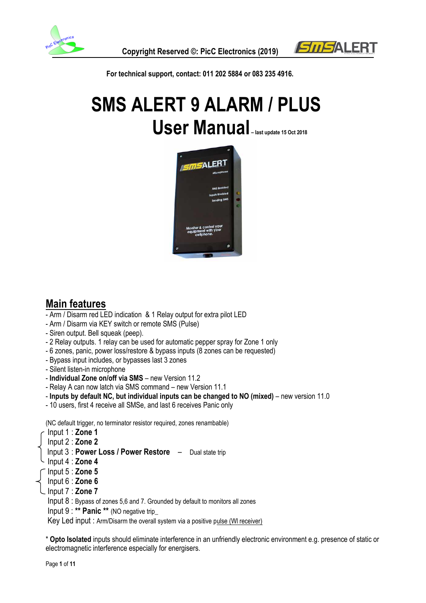



 **For technical support, contact: 011 202 5884 or 083 235 4916.**

# **SMS ALERT 9 ALARM / PLUS User Manual – last update 15 Oct 2018**



### **Main features**

- Arm / Disarm red LED indication & 1 Relay output for extra pilot LED
- Arm / Disarm via KEY switch or remote SMS (Pulse)
- Siren output. Bell squeak (peep).
- 2 Relay outputs. 1 relay can be used for automatic pepper spray for Zone 1 only
- 6 zones, panic, power loss/restore & bypass inputs (8 zones can be requested)
- Bypass input includes, or bypasses last 3 zones
- Silent listen-in microphone
- **Individual Zone on/off via SMS** new Version 11.2
- Relay A can now latch via SMS command new Version 11.1
- **Inputs by default NC, but individual inputs can be changed to NO (mixed)** new version 11.0
- 10 users, first 4 receive all SMSe, and last 6 receives Panic only

(NC default trigger, no terminator resistor required, zones renambable)

- Input 1 : **Zone 1**
- Input 2 : **Zone 2**
- Input 3 : **Power Loss / Power Restore**  Dual state trip
- Input 4 : **Zone 4**
- Input 5 : **Zone 5**
- Input 6 : **Zone 6**
- Input 7 : **Zone 7**
	- Input 8 : Bypass of zones 5,6 and 7. Grounded by default to monitors all zones
	- Input 9 : **\*\* Panic \*\*** (NO negative trip\_

Key Led input : Arm/Disarm the overall system via a positive pulse (Wl receiver)

\* **Opto Isolated** inputs should eliminate interference in an unfriendly electronic environment e.g. presence of static or electromagnetic interference especially for energisers.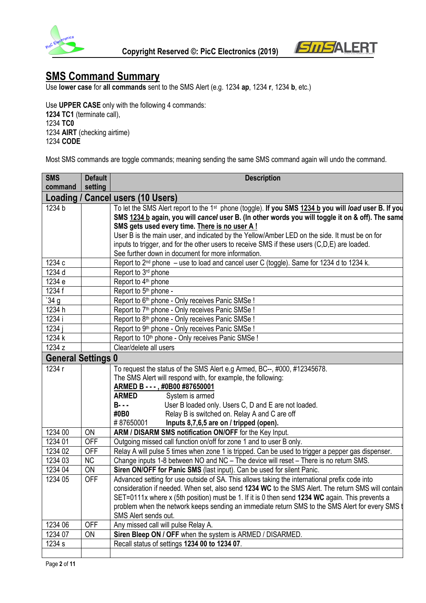



# **SMS Command Summary**

Use **lower case** for **all commands** sent to the SMS Alert (e.g. 1234 **ap**, 1234 **r**, 1234 **b**, etc.)

Use **UPPER CASE** only with the following 4 commands: **1234 TC1** (terminate call), 1234 **TC0**  1234 **AIRT** (checking airtime) 1234 **CODE**

Most SMS commands are toggle commands; meaning sending the same SMS command again will undo the command.

| <b>SMS</b>                | <b>Default</b> | <b>Description</b>                                                                                                |  |  |
|---------------------------|----------------|-------------------------------------------------------------------------------------------------------------------|--|--|
| command                   | setting        |                                                                                                                   |  |  |
| Loading                   |                | <b>Cancel users (10 Users)</b>                                                                                    |  |  |
| 1234 b                    |                | To let the SMS Alert report to the 1 <sup>st</sup> phone (toggle). If you SMS 1234 b you will load user B. If you |  |  |
|                           |                | SMS 1234 b again, you will cancel user B. (In other words you will toggle it on & off). The same                  |  |  |
|                           |                | SMS gets used every time. There is no user A!                                                                     |  |  |
|                           |                | User B is the main user, and indicated by the Yellow/Amber LED on the side. It must be on for                     |  |  |
|                           |                | inputs to trigger, and for the other users to receive SMS if these users (C,D,E) are loaded.                      |  |  |
|                           |                | See further down in document for more information.                                                                |  |  |
| 1234 c                    |                | Report to $2nd$ phone $-$ use to load and cancel user C (toggle). Same for 1234 d to 1234 k.                      |  |  |
| 1234 d                    |                | Report to 3rd phone                                                                                               |  |  |
| 1234 e                    |                | Report to 4 <sup>th</sup> phone                                                                                   |  |  |
| 1234 f                    |                | Report to 5 <sup>th</sup> phone -                                                                                 |  |  |
| 34g                       |                | Report to 6th phone - Only receives Panic SMSe !                                                                  |  |  |
| 1234 h                    |                | Report to 7 <sup>th</sup> phone - Only receives Panic SMSe !                                                      |  |  |
| 1234 i                    |                | Report to 8 <sup>th</sup> phone - Only receives Panic SMSe !                                                      |  |  |
| 1234 i                    |                | Report to 9th phone - Only receives Panic SMSe !                                                                  |  |  |
| 1234 k                    |                | Report to 10 <sup>th</sup> phone - Only receives Panic SMSe !                                                     |  |  |
| 1234 z                    |                | Clear/delete all users                                                                                            |  |  |
| <b>General Settings 0</b> |                |                                                                                                                   |  |  |
| 1234 r                    |                | To request the status of the SMS Alert e.g Armed, BC--, #000, #12345678.                                          |  |  |
|                           |                | The SMS Alert will respond with, for example, the following:                                                      |  |  |
|                           |                | ARMED B - - -, #0B00 #87650001                                                                                    |  |  |
|                           |                | <b>ARMED</b><br>System is armed                                                                                   |  |  |
|                           |                | User B loaded only. Users C, D and E are not loaded.<br>$B- -$                                                    |  |  |
|                           |                | #0B0<br>Relay B is switched on. Relay A and C are off                                                             |  |  |
|                           |                | #87650001<br>Inputs 8,7,6,5 are on / tripped (open).                                                              |  |  |
| 1234 00                   | ON             | ARM / DISARM SMS notification ON/OFF for the Key Input.                                                           |  |  |
| 1234 01                   | <b>OFF</b>     | Outgoing missed call function on/off for zone 1 and to user B only.                                               |  |  |
| 1234 02                   | <b>OFF</b>     | Relay A will pulse 5 times when zone 1 is tripped. Can be used to trigger a pepper gas dispenser.                 |  |  |
| 1234 03                   | NC             | Change inputs 1-8 between NO and NC - The device will reset - There is no return SMS.                             |  |  |
| 1234 04                   | <b>ON</b>      | Siren ON/OFF for Panic SMS (last input). Can be used for silent Panic.                                            |  |  |
| 1234 05                   | <b>OFF</b>     | Advanced setting for use outside of SA. This allows taking the international prefix code into                     |  |  |
|                           |                | consideration if needed. When set, also send 1234 WC to the SMS Alert. The return SMS will contain                |  |  |
|                           |                | SET=0111x where x (5th position) must be 1. If it is 0 then send 1234 WC again. This prevents a                   |  |  |
|                           |                | problem when the network keeps sending an immediate return SMS to the SMS Alert for every SMS t                   |  |  |
|                           |                | SMS Alert sends out.                                                                                              |  |  |
| 1234 06                   | <b>OFF</b>     | Any missed call will pulse Relay A.                                                                               |  |  |
| 1234 07                   | ON             | Siren Bleep ON / OFF when the system is ARMED / DISARMED.                                                         |  |  |
| 1234 s                    |                | Recall status of settings 1234 00 to 1234 07.                                                                     |  |  |
|                           |                |                                                                                                                   |  |  |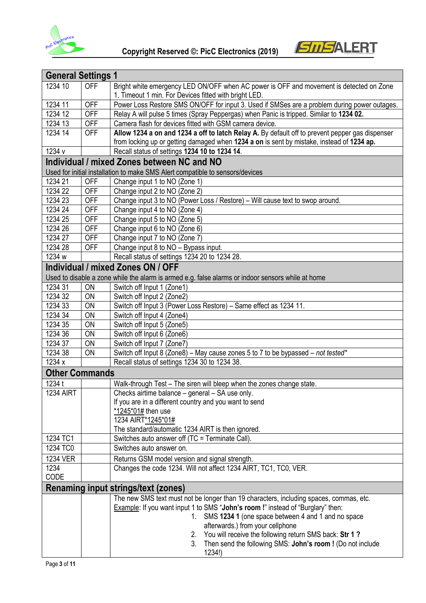



| <b>General Settings 1</b> |            |                                                                                                                                                                           |
|---------------------------|------------|---------------------------------------------------------------------------------------------------------------------------------------------------------------------------|
| 1234 10                   | <b>OFF</b> | Bright white emergency LED ON/OFF when AC power is OFF and movement is detected on Zone<br>1. Timeout 1 min. For Devices fitted with bright LED.                          |
| 1234 11                   | <b>OFF</b> | Power Loss Restore SMS ON/OFF for input 3. Used if SMSes are a problem during power outages.                                                                              |
| 1234 12                   | <b>OFF</b> | Relay A will pulse 5 times (Spray Peppergas) when Panic is tripped. Similar to 1234 02.                                                                                   |
| 1234 13                   | <b>OFF</b> | Camera flash for devices fitted with GSM camera device.                                                                                                                   |
| 1234 14                   | <b>OFF</b> | Allow 1234 a on and 1234 a off to latch Relay A. By default off to prevent pepper gas dispenser                                                                           |
|                           |            | from locking up or getting damaged when 1234 a on is sent by mistake, instead of 1234 ap.                                                                                 |
| 1234 v                    |            | Recall status of settings 1234 10 to 1234 14.                                                                                                                             |
|                           |            | Individual / mixed Zones between NC and NO                                                                                                                                |
|                           |            | Used for initial installation to make SMS Alert compatible to sensors/devices                                                                                             |
| 1234 21                   | <b>OFF</b> | Change input 1 to NO (Zone 1)                                                                                                                                             |
| 1234 22                   | <b>OFF</b> | Change input 2 to NO (Zone 2)                                                                                                                                             |
| 1234 23                   | <b>OFF</b> | Change input 3 to NO (Power Loss / Restore) - Will cause text to swop around.                                                                                             |
| 1234 24                   | <b>OFF</b> | Change input 4 to NO (Zone 4)                                                                                                                                             |
| 1234 25                   | <b>OFF</b> | Change input 5 to NO (Zone 5)                                                                                                                                             |
| 1234 26                   | <b>OFF</b> | Change input 6 to NO (Zone 6)                                                                                                                                             |
| 1234 27                   | <b>OFF</b> | Change input 7 to NO (Zone 7)                                                                                                                                             |
| 1234 28                   | <b>OFF</b> | Change input 8 to NO - Bypass input.                                                                                                                                      |
| 1234 w                    |            | Recall status of settings 1234 20 to 1234 28.                                                                                                                             |
|                           |            | Individual / mixed Zones ON / OFF                                                                                                                                         |
|                           |            | Used to disable a zone while the alarm is armed e.g. false alarms or indoor sensors while at home                                                                         |
| 1234 31                   | <b>ON</b>  | Switch off Input 1 (Zone1)                                                                                                                                                |
| 1234 32                   | <b>ON</b>  | Switch off Input 2 (Zone2)                                                                                                                                                |
| 1234 33                   | ON         | Switch off Input 3 (Power Loss Restore) - Same effect as 1234 11.                                                                                                         |
| 1234 34                   | ON         | Switch off Input 4 (Zone4)                                                                                                                                                |
| 1234 35                   | ON         | Switch off Input 5 (Zone5)                                                                                                                                                |
| 1234 36                   | ON         | Switch off Input 6 (Zone6)                                                                                                                                                |
| 1234 37                   | <b>ON</b>  | Switch off Input 7 (Zone7)                                                                                                                                                |
| 1234 38                   | ON         | Switch off Input 8 (Zone8) - May cause zones 5 to 7 to be bypassed - not tested*                                                                                          |
| 1234 x                    |            | Recall status of settings 1234 30 to 1234 38.                                                                                                                             |
| <b>Other Commands</b>     |            |                                                                                                                                                                           |
| 1234 t                    |            | Walk-through Test - The siren will bleep when the zones change state.                                                                                                     |
| <b>1234 AIRT</b>          |            | Checks airtime balance - general - SA use only.                                                                                                                           |
|                           |            | If you are in a different country and you want to send                                                                                                                    |
|                           |            | *1245*01# then use                                                                                                                                                        |
|                           |            | 1234 AIRT*1245*01#<br>The standard/automatic 1234 AIRT is then ignored.                                                                                                   |
| 1234 TC1                  |            | Switches auto answer off (TC = Terminate Call).                                                                                                                           |
| 1234 TC0                  |            | Switches auto answer on.                                                                                                                                                  |
| <b>1234 VER</b>           |            |                                                                                                                                                                           |
| 1234                      |            | Returns GSM model version and signal strength.<br>Changes the code 1234. Will not affect 1234 AIRT, TC1, TC0, VER.                                                        |
| CODE                      |            |                                                                                                                                                                           |
|                           |            | <b>Renaming input strings/text (zones)</b>                                                                                                                                |
|                           |            |                                                                                                                                                                           |
|                           |            | The new SMS text must not be longer than 19 characters, including spaces, commas, etc.<br>Example: If you want input 1 to SMS "John's room !" instead of "Burglary" then: |
|                           |            | SMS 1234 1 (one space between 4 and 1 and no space<br>1.                                                                                                                  |
|                           |            | afterwards.) from your cellphone                                                                                                                                          |
|                           |            | You will receive the following return SMS back: Str 1?<br>2.                                                                                                              |
|                           |            | Then send the following SMS: John's room ! (Do not include<br>3.                                                                                                          |
|                           |            | 1234!)                                                                                                                                                                    |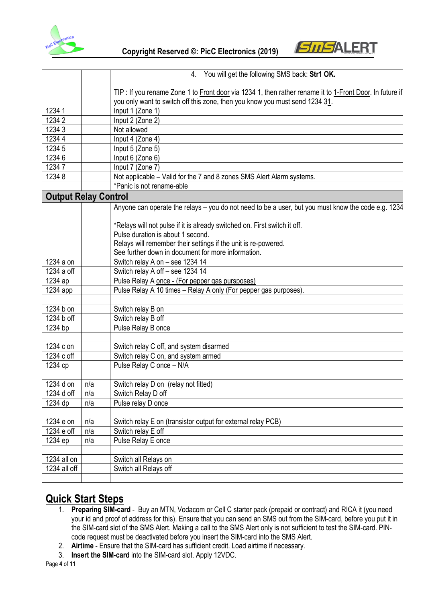



|                             |     | 4. You will get the following SMS back: Str1 OK.                                                         |
|-----------------------------|-----|----------------------------------------------------------------------------------------------------------|
|                             |     | TIP : If you rename Zone 1 to Front door via 1234 1, then rather rename it to 1-Front Door. In future if |
|                             |     | you only want to switch off this zone, then you know you must send 1234 31.                              |
| 1234 1                      |     | Input 1 (Zone 1)                                                                                         |
| 12342                       |     | Input 2 (Zone 2)                                                                                         |
| 12343                       |     | Not allowed                                                                                              |
| 1234 4                      |     | Input 4 (Zone 4)                                                                                         |
| 1234 5                      |     | Input 5 (Zone 5)                                                                                         |
| 1234 6                      |     | Input 6 (Zone 6)                                                                                         |
| 12347                       |     | Input 7 (Zone 7)                                                                                         |
| 12348                       |     | Not applicable - Valid for the 7 and 8 zones SMS Alert Alarm systems.                                    |
|                             |     | *Panic is not rename-able                                                                                |
| <b>Output Relay Control</b> |     |                                                                                                          |
|                             |     | Anyone can operate the relays - you do not need to be a user, but you must know the code e.g. 1234       |
|                             |     |                                                                                                          |
|                             |     | *Relays will not pulse if it is already switched on. First switch it off.                                |
|                             |     | Pulse duration is about 1 second.                                                                        |
|                             |     | Relays will remember their settings if the unit is re-powered.                                           |
|                             |     | See further down in document for more information.                                                       |
| 1234 a on                   |     | Switch relay A on - see 1234 14                                                                          |
| 1234 a off                  |     | Switch relay A off - see 1234 14                                                                         |
| 1234 ap                     |     | Pulse Relay A once - (For pepper gas pursposes)                                                          |
| 1234 app                    |     | Pulse Relay A 10 times - Relay A only (For pepper gas purposes).                                         |
|                             |     |                                                                                                          |
| 1234 b on                   |     | Switch relay B on                                                                                        |
| 1234 b off                  |     | Switch relay B off                                                                                       |
| 1234 bp                     |     | Pulse Relay B once                                                                                       |
|                             |     |                                                                                                          |
| 1234 c on                   |     | Switch relay C off, and system disarmed                                                                  |
| 1234 c off                  |     | Switch relay C on, and system armed                                                                      |
| 1234 cp                     |     | Pulse Relay C once - N/A                                                                                 |
| 1234 d on                   | n/a | Switch relay D on (relay not fitted)                                                                     |
| 1234 d off                  | n/a | Switch Relay D off                                                                                       |
| 1234 dp                     | n/a | Pulse relay D once                                                                                       |
|                             |     |                                                                                                          |
| 1234 e on                   | n/a | Switch relay E on (transistor output for external relay PCB)                                             |
| 1234 e off                  | n/a | Switch relay E off                                                                                       |
| 1234 ep                     | n/a | Pulse Relay E once                                                                                       |
|                             |     |                                                                                                          |
| 1234 all on                 |     | Switch all Relays on                                                                                     |
| 1234 all off                |     | Switch all Relays off                                                                                    |
|                             |     |                                                                                                          |

# **Quick Start Steps**

- 1. **Preparing SIM-card** Buy an MTN, Vodacom or Cell C starter pack (prepaid or contract) and RICA it (you need your id and proof of address for this). Ensure that you can send an SMS out from the SIM-card, before you put it in the SIM-card slot of the SMS Alert. Making a call to the SMS Alert only is not sufficient to test the SIM-card. PINcode request must be deactivated before you insert the SIM-card into the SMS Alert.
- 2. **Airtime** Ensure that the SIM-card has sufficient credit. Load airtime if necessary.
- 3. **Insert the SIM-card** into the SIM-card slot. Apply 12VDC.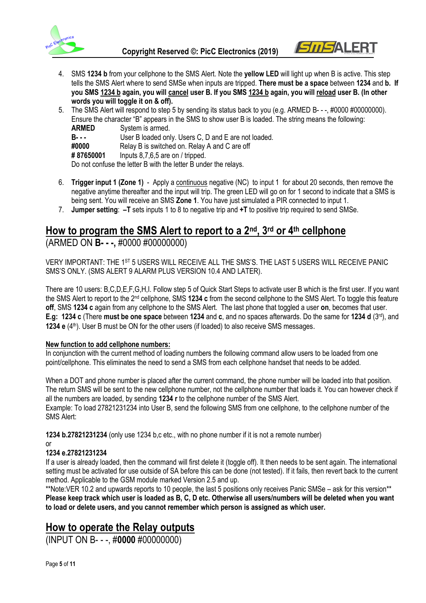



- 4. SMS **1234 b** from your cellphone to the SMS Alert. Note the **yellow LED** will light up when B is active. This step tells the SMS Alert where to send SMSe when inputs are tripped. **There must be a space** between **1234** and **b. If you SMS 1234 b again, you will cancel user B. If you SMS 1234 b again, you will reload user B. (In other words you will toggle it on & off).**
- 5. The SMS Alert will respond to step 5 by sending its status back to you (e.g. ARMED B- -, #0000 #00000000). Ensure the character "B" appears in the SMS to show user B is loaded. The string means the following: **ARMED** System is armed. **B- -** User B loaded only. Users C, D and E are not loaded.<br> **#0000** Relay B is switched on. Relay A and C are off Relay B is switched on. Relay A and C are off **# 87650001** Inputs 8,7,6,5 are on / tripped. Do not confuse the letter B with the letter B under the relays.
- 6. **Trigger input 1 (Zone 1)**  Apply a continuous negative (NC) to input 1 for about 20 seconds, then remove the negative anytime thereafter and the input will trip. The green LED will go on for 1 second to indicate that a SMS is being sent. You will receive an SMS **Zone 1**. You have just simulated a PIR connected to input 1.
- 7. **Jumper setting**: **–T** sets inputs 1 to 8 to negative trip and **+T** to positive trip required to send SMSe.

# **How to program the SMS Alert to report to a 2nd, 3rd or 4th cellphone**

#### (ARMED ON **B- - -,** #0000 #00000000)

VERY IMPORTANT: THE 1ST 5 USERS WILL RECEIVE ALL THE SMS'S. THE LAST 5 USERS WILL RECEIVE PANIC SMS'S ONLY. (SMS ALERT 9 ALARM PLUS VERSION 10.4 AND LATER).

There are 10 users: B,C,D,E,F,G,H,I. Follow step 5 of Quick Start Steps to activate user B which is the first user. If you want the SMS Alert to report to the 2nd cellphone, SMS **1234 c** from the second cellphone to the SMS Alert. To toggle this feature **off**, SMS **1234 c** again from any cellphone to the SMS Alert. The last phone that toggled a user **on**, becomes that user. **E.g: 1234 c** (There **must be one space** between **1234** and **c**, and no spaces afterwards. Do the same for **1234 d** (3rd), and **1234 e** (4th). User B must be ON for the other users (if loaded) to also receive SMS messages.

#### **New function to add cellphone numbers:**

In conjunction with the current method of loading numbers the following command allow users to be loaded from one point/cellphone. This eliminates the need to send a SMS from each cellphone handset that needs to be added.

When a DOT and phone number is placed after the current command, the phone number will be loaded into that position. The return SMS will be sent to the new cellphone number, not the cellphone number that loads it. You can however check if all the numbers are loaded, by sending **1234 r** to the cellphone number of the SMS Alert. Example: To load 27821231234 into User B, send the following SMS from one cellphone, to the cellphone number of the SMS Alert:

**1234 b.27821231234** (only use 1234 b,c etc., with no phone number if it is not a remote number)

#### or **1234 e.27821231234**

If a user is already loaded, then the command will first delete it (toggle off). It then needs to be sent again. The international setting must be activated for use outside of SA before this can be done (not tested). If it fails, then revert back to the current method. Applicable to the GSM module marked Version 2.5 and up.

\*\*Note:VER 10.2 and upwards reports to 10 people, the last 5 positions only receives Panic SMSe – ask for this version\*\* **Please keep track which user is loaded as B, C, D etc. Otherwise all users/numbers will be deleted when you want to load or delete users, and you cannot remember which person is assigned as which user.**

#### **How to operate the Relay outputs**

(INPUT ON B- - -, #**0000** #00000000)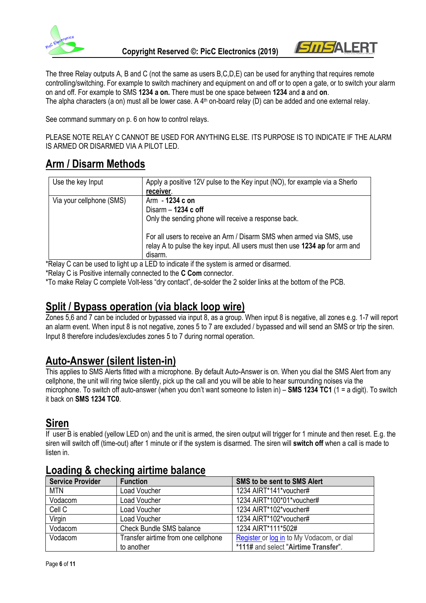



The three Relay outputs A, B and C (not the same as users B,C,D,E) can be used for anything that requires remote controlling/switching. For example to switch machinery and equipment on and off or to open a gate, or to switch your alarm on and off. For example to SMS **1234 a on.** There must be one space between **1234** and **a** and **on**. The alpha characters (a on) must all be lower case. A 4<sup>th</sup> on-board relay (D) can be added and one external relay.

See command summary on p. 6 on how to control relays.

PLEASE NOTE RELAY C CANNOT BE USED FOR ANYTHING ELSE. ITS PURPOSE IS TO INDICATE IF THE ALARM IS ARMED OR DISARMED VIA A PILOT LED.

# **Arm / Disarm Methods**

| Use the key Input        | Apply a positive 12V pulse to the Key input (NO), for example via a Sherlo                                                                          |
|--------------------------|-----------------------------------------------------------------------------------------------------------------------------------------------------|
|                          | receiver.                                                                                                                                           |
| Via your cellphone (SMS) | Arm - 1234 c on                                                                                                                                     |
|                          | Disarm $-$ 1234 c off                                                                                                                               |
|                          | Only the sending phone will receive a response back.                                                                                                |
|                          | For all users to receive an Arm / Disarm SMS when armed via SMS, use<br>relay A to pulse the key input. All users must then use 1234 ap for arm and |
|                          | disarm.<br>$\blacksquare$                                                                                                                           |

\*Relay C can be used to light up a LED to indicate if the system is armed or disarmed.

\*Relay C is Positive internally connected to the **C Com** connector.

\*To make Relay C complete Volt-less "dry contact", de-solder the 2 solder links at the bottom of the PCB.

### **Split / Bypass operation (via black loop wire)**

Zones 5,6 and 7 can be included or bypassed via input 8, as a group. When input 8 is negative, all zones e.g. 1-7 will report an alarm event. When input 8 is not negative, zones 5 to 7 are excluded / bypassed and will send an SMS or trip the siren. Input 8 therefore includes/excludes zones 5 to 7 during normal operation.

### **Auto-Answer (silent listen-in)**

This applies to SMS Alerts fitted with a microphone. By default Auto-Answer is on. When you dial the SMS Alert from any cellphone, the unit will ring twice silently, pick up the call and you will be able to hear surrounding noises via the microphone. To switch off auto-answer (when you don't want someone to listen in) – **SMS 1234 TC1** (1 = a digit). To switch it back on **SMS 1234 TC0**.

# **Siren**

If user B is enabled (yellow LED on) and the unit is armed, the siren output will trigger for 1 minute and then reset. E.g. the siren will switch off (time-out) after 1 minute or if the system is disarmed. The siren will **switch off** when a call is made to listen in.

| <b>Service Provider</b> | <b>Function</b>                     | <b>SMS to be sent to SMS Alert</b>        |
|-------------------------|-------------------------------------|-------------------------------------------|
| <b>MTN</b>              | Load Voucher                        | 1234 AIRT*141*voucher#                    |
| Vodacom                 | Load Voucher                        | 1234 AIRT*100*01*voucher#                 |
| Cell C                  | Load Voucher                        | 1234 AIRT*102*voucher#                    |
| Virgin                  | Load Voucher                        | 1234 AIRT*102*voucher#                    |
| Vodacom                 | <b>Check Bundle SMS balance</b>     | 1234 AIRT*111*502#                        |
| Vodacom                 | Transfer airtime from one cellphone | Register or log in to My Vodacom, or dial |
|                         | to another                          | *111# and select "Airtime Transfer".      |

#### **Loading & checking airtime balance**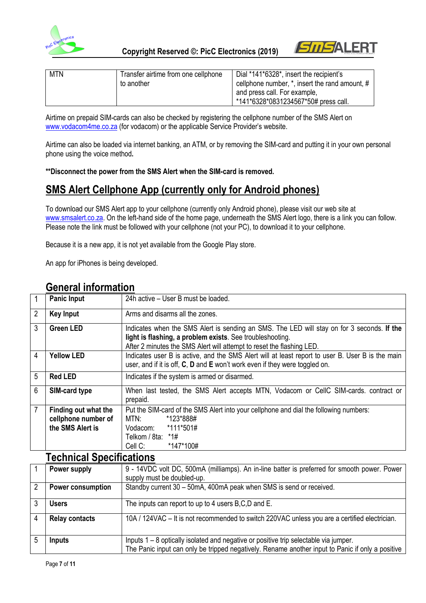



| <b>MTN</b> | Transfer airtime from one cellphone | Dial *141*6328*, insert the recipient's        |
|------------|-------------------------------------|------------------------------------------------|
|            | to another                          | cellphone number, *, insert the rand amount, # |
|            |                                     | and press call. For example,                   |
|            |                                     | *141*6328*0831234567*50# press call.           |

Airtime on prepaid SIM-cards can also be checked by registering the cellphone number of the SMS Alert on [www.vodacom4me.co.za](http://www.vodacom4me.co.za/) (for vodacom) or the applicable Service Provider's website.

Airtime can also be loaded via internet banking, an ATM, or by removing the SIM-card and putting it in your own personal phone using the voice method**.** 

**\*\*Disconnect the power from the SMS Alert when the SIM-card is removed.**

## **SMS Alert Cellphone App (currently only for Android phones)**

To download our SMS Alert app to your cellphone (currently only Android phone), please visit our web site at [www.smsalert.co.za.](http://www.smsalert.co.za/) On the left-hand side of the home page, underneath the SMS Alert logo, there is a link you can follow. Please note the link must be followed with your cellphone (not your PC), to download it to your cellphone.

Because it is a new app, it is not yet available from the Google Play store.

An app for iPhones is being developed.

|                | <b>Panic Input</b>                                              | 24h active – User B must be loaded.                                                                                                                                                                                              |  |
|----------------|-----------------------------------------------------------------|----------------------------------------------------------------------------------------------------------------------------------------------------------------------------------------------------------------------------------|--|
| $\overline{2}$ | <b>Key Input</b>                                                | Arms and disarms all the zones.                                                                                                                                                                                                  |  |
| 3              | <b>Green LED</b>                                                | Indicates when the SMS Alert is sending an SMS. The LED will stay on for 3 seconds. If the<br>light is flashing, a problem exists. See troubleshooting.<br>After 2 minutes the SMS Alert will attempt to reset the flashing LED. |  |
| 4              | <b>Yellow LED</b>                                               | Indicates user B is active, and the SMS Alert will at least report to user B. User B is the main<br>user, and if it is off, C, D and E won't work even if they were toggled on.                                                  |  |
| 5              | <b>Red LED</b>                                                  | Indicates if the system is armed or disarmed.                                                                                                                                                                                    |  |
| 6              | SIM-card type                                                   | When last tested, the SMS Alert accepts MTN, Vodacom or CellC SIM-cards. contract or<br>prepaid.                                                                                                                                 |  |
| $\overline{7}$ | Finding out what the<br>cellphone number of<br>the SMS Alert is | Put the SIM-card of the SMS Alert into your cellphone and dial the following numbers:<br>*123*888#<br>MTN:<br>Vodacom: *111*501#<br>Telkom / 8ta: *1#<br>*147*100#<br>Cell C:                                                    |  |
|                | Taahniaal Cnaaifiaatiana                                        |                                                                                                                                                                                                                                  |  |

#### **General information**

#### **Technical Specifications**

|   | Power supply             | 9 - 14VDC volt DC, 500mA (milliamps). An in-line batter is preferred for smooth power. Power     |  |
|---|--------------------------|--------------------------------------------------------------------------------------------------|--|
|   |                          | supply must be doubled-up.                                                                       |  |
| 2 | <b>Power consumption</b> | Standby current 30 - 50mA, 400mA peak when SMS is send or received.                              |  |
| 3 | <b>Users</b>             | The inputs can report to up to 4 users B,C,D and E.                                              |  |
| 4 | <b>Relay contacts</b>    | 10A / 124VAC – It is not recommended to switch 220VAC unless you are a certified electrician.    |  |
|   | Inputs                   | Inputs 1 – 8 optically isolated and negative or positive trip selectable via jumper.             |  |
|   |                          | The Panic input can only be tripped negatively. Rename another input to Panic if only a positive |  |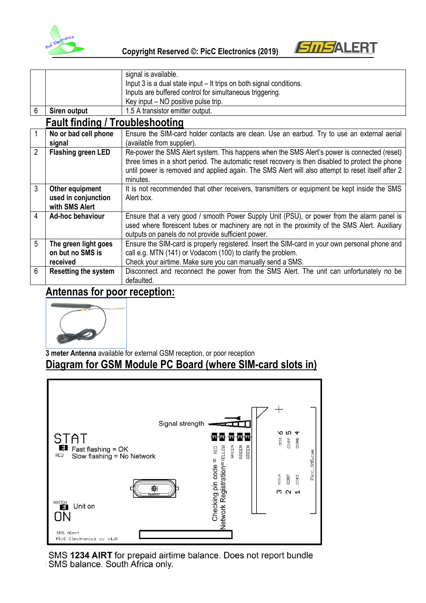



|                |                                        | signal is available.                                                                              |  |
|----------------|----------------------------------------|---------------------------------------------------------------------------------------------------|--|
|                |                                        | Input 3 is a dual state input – It trips on both signal conditions.                               |  |
|                |                                        | Inputs are buffered control for simultaneous triggering.                                          |  |
|                |                                        | Key input – NO positive pulse trip.                                                               |  |
| 6              | Siren output                           | 1.5 A transistor emitter output.                                                                  |  |
|                | <b>Fault finding / Troubleshooting</b> |                                                                                                   |  |
| $\mathbf{1}$   | No or bad cell phone                   | Ensure the SIM-card holder contacts are clean. Use an earbud. Try to use an external aerial       |  |
|                | signal                                 | (available from supplier).                                                                        |  |
| $\overline{2}$ | <b>Flashing green LED</b>              | Re-power the SMS Alert system. This happens when the SMS Alert's power is connected (reset)       |  |
|                |                                        | three times in a short period. The automatic reset recovery is then disabled to protect the phone |  |
|                |                                        | until power is removed and applied again. The SMS Alert will also attempt to reset itself after 2 |  |
|                |                                        | minutes.                                                                                          |  |
| 3              | Other equipment                        | It is not recommended that other receivers, transmitters or equipment be kept inside the SMS      |  |
|                | used in conjunction                    | Alert box.                                                                                        |  |
|                | with SMS Alert                         |                                                                                                   |  |
| $\overline{4}$ | Ad-hoc behaviour                       | Ensure that a very good / smooth Power Supply Unit (PSU), or power from the alarm panel is        |  |
|                |                                        | used where florescent tubes or machinery are not in the proximity of the SMS Alert. Auxiliary     |  |
|                |                                        | outputs on panels do not provide sufficient power.                                                |  |
| 5              | The green light goes                   | Ensure the SIM-card is properly registered. Insert the SIM-card in your own personal phone and    |  |
|                | on but no SMS is                       | call e.g. MTN (141) or Vodacom (100) to clarify the problem.                                      |  |
|                | received                               | Check your airtime. Make sure you can manually send a SMS.                                        |  |
| 6              | Resetting the system                   | Disconnect and reconnect the power from the SMS Alert. The unit can unfortunately no be           |  |
|                |                                        | defaulted.                                                                                        |  |

# **Antennas for poor reception:**



**3 meter Antenna** available for external GSM reception, or poor reception

## **Diagram for GSM Module PC Board (where SIM-card slots in)**



SMS 1234 AIRT for prepaid airtime balance. Does not report bundle<br> **ISMS balance. South Africa only.**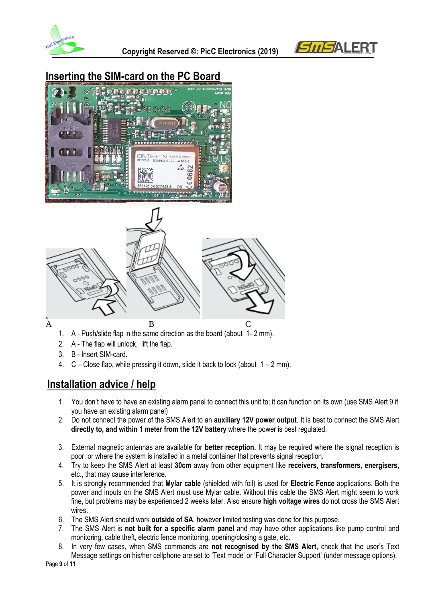



# **Inserting the SIM-card on the PC Board**





- 1. A Push/slide flap in the same direction as the board (about 1- 2 mm).
- 2. A The flap will unlock, lift the flap.
- 3. B Insert SIM-card.
- 4.  $C -$  Close flap, while pressing it down, slide it back to lock (about  $1 2$  mm).

# **Installation advice / help**

- 1. You don't have to have an existing alarm panel to connect this unit to; it can function on its own (use SMS Alert 9 if you have an existing alarm panel)
- 2. Do not connect the power of the SMS Alert to an **auxiliary 12V power output**. It is best to connect the SMS Alert **directly to, and within 1 meter from the 12V battery** where the power is best regulated.
- 3. External magnetic antennas are available for **better reception.** It may be required where the signal reception is poor, or where the system is installed in a metal container that prevents signal reception.
- 4. Try to keep the SMS Alert at least **30cm** away from other equipment like **receivers, transformers**, **energisers,** etc., that may cause interference.
- 5. It is strongly recommended that **Mylar cable** (shielded with foil) is used for **Electric Fence** applications. Both the power and inputs on the SMS Alert must use Mylar cable. Without this cable the SMS Alert might seem to work fine, but problems may be experienced 2 weeks later. Also ensure **high voltage wires** do not cross the SMS Alert wires.
- 6. The SMS Alert should work **outside of SA**, however limited testing was done for this purpose.
- 7. The SMS Alert is **not built for a specific alarm panel** and may have other applications like pump control and monitoring, cable theft, electric fence monitoring, opening/closing a gate, etc.
- 8. In very few cases, when SMS commands are **not recognised by the SMS Alert**, check that the user's Text Message settings on his/her cellphone are set to 'Text mode' or 'Full Character Support' (under message options).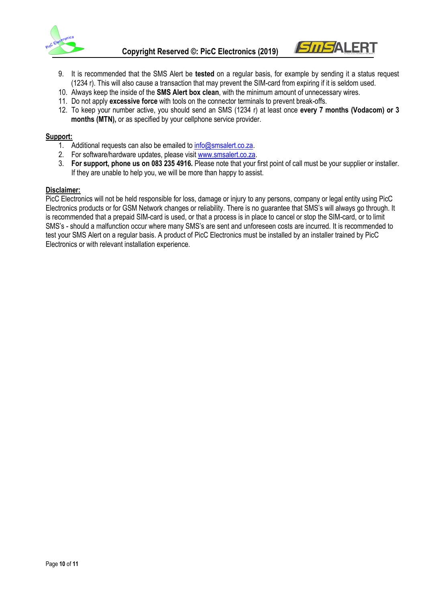



- 9. It is recommended that the SMS Alert be **tested** on a regular basis, for example by sending it a status request (1234 r). This will also cause a transaction that may prevent the SIM-card from expiring if it is seldom used.
- 10. Always keep the inside of the **SMS Alert box clean**, with the minimum amount of unnecessary wires.
- 11. Do not apply **excessive force** with tools on the connector terminals to prevent break-offs.
- 12. To keep your number active, you should send an SMS (1234 r) at least once **every 7 months (Vodacom) or 3 months (MTN),** or as specified by your cellphone service provider.

#### **Support:**

- 1. Additional requests can also be emailed to [info@smsalert.co.za.](mailto:info@smsalert.co.za)
- 2. For software/hardware updates, please visit [www.smsalert.co.za.](http://www.smsalert.co.za/)
- 3. **For support, phone us on 083 235 4916.** Please note that your first point of call must be your supplier or installer. If they are unable to help you, we will be more than happy to assist.

#### **Disclaimer:**

PicC Electronics will not be held responsible for loss, damage or injury to any persons, company or legal entity using PicC Electronics products or for GSM Network changes or reliability. There is no guarantee that SMS's will always go through. It is recommended that a prepaid SIM-card is used, or that a process is in place to cancel or stop the SIM-card, or to limit SMS's - should a malfunction occur where many SMS's are sent and unforeseen costs are incurred. It is recommended to test your SMS Alert on a regular basis. A product of PicC Electronics must be installed by an installer trained by PicC Electronics or with relevant installation experience.